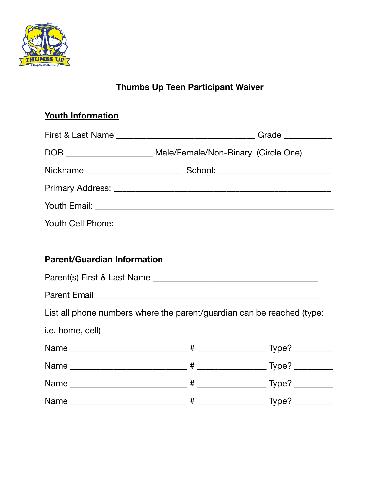

# **Thumbs Up Teen Participant Waiver**

# **Youth Information**

| First & Last Name ___________________________________Grade _____________________ |  |
|----------------------------------------------------------------------------------|--|
| DOB _________________________ Male/Female/Non-Binary (Circle One)                |  |
|                                                                                  |  |
|                                                                                  |  |
|                                                                                  |  |
|                                                                                  |  |
|                                                                                  |  |
| <b>Parent/Guardian Information</b>                                               |  |
|                                                                                  |  |
|                                                                                  |  |
| List all phone numbers where the parent/guardian can be reached (type:           |  |
| i.e. home, cell)                                                                 |  |
|                                                                                  |  |
|                                                                                  |  |
|                                                                                  |  |

Name \_\_\_\_\_\_\_\_\_\_\_\_\_\_\_\_\_\_\_\_\_\_\_\_\_\_\_ # \_\_\_\_\_\_\_\_\_\_\_\_\_\_\_\_ Type? \_\_\_\_\_\_\_\_\_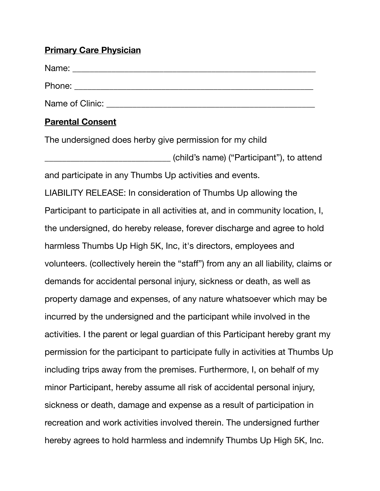#### **Primary Care Physician**

Name: \_\_\_\_\_\_\_\_\_\_\_\_\_\_\_\_\_\_\_\_\_\_\_\_\_\_\_\_\_\_\_\_\_\_\_\_\_\_\_\_\_\_\_\_\_\_\_\_\_\_\_\_\_\_\_\_ Phone: \_\_\_\_\_\_\_\_\_\_\_\_\_\_\_\_\_\_\_\_\_\_\_\_\_\_\_\_\_\_\_\_\_\_\_\_\_\_\_\_\_\_\_\_\_\_\_\_\_\_\_\_\_\_\_ Name of Clinic:  $\blacksquare$ 

### **Parental Consent**

The undersigned does herby give permission for my child

\_\_\_\_\_\_\_\_\_\_\_\_\_\_\_\_\_\_\_\_\_\_\_\_\_\_\_\_\_ (child's name) ("Participant"), to attend and participate in any Thumbs Up activities and events.

LIABILITY RELEASE: In consideration of Thumbs Up allowing the Participant to participate in all activities at, and in community location, I, the undersigned, do hereby release, forever discharge and agree to hold harmless Thumbs Up High 5K, Inc, it's directors, employees and volunteers. (collectively herein the "staff") from any an all liability, claims or demands for accidental personal injury, sickness or death, as well as property damage and expenses, of any nature whatsoever which may be incurred by the undersigned and the participant while involved in the activities. I the parent or legal guardian of this Participant hereby grant my permission for the participant to participate fully in activities at Thumbs Up including trips away from the premises. Furthermore, I, on behalf of my minor Participant, hereby assume all risk of accidental personal injury, sickness or death, damage and expense as a result of participation in recreation and work activities involved therein. The undersigned further hereby agrees to hold harmless and indemnify Thumbs Up High 5K, Inc.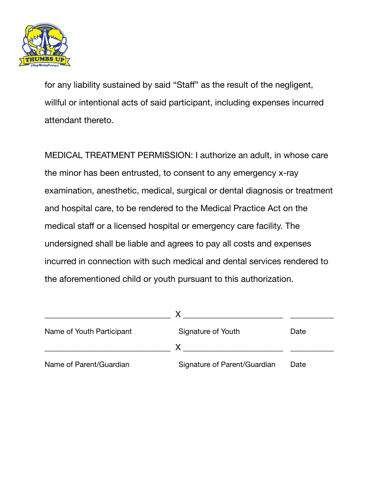

for any liability sustained by said "Staff" as the result of the negligent, willful or intentional acts of said participant, including expenses incurred attendant thereto.

MEDICAL TREATMENT PERMISSION: I authorize an adult, in whose care the minor has been entrusted, to consent to any emergency x-ray examination, anesthetic, medical, surgical or dental diagnosis or treatment and hospital care, to be rendered to the Medical Practice Act on the medical staff or a licensed hospital or emergency care facility. The undersigned shall be liable and agrees to pay all costs and expenses incurred in connection with such medical and dental services rendered to the aforementioned child or youth pursuant to this authorization.

| Name of Youth Participant | Signature of Youth           | Date |
|---------------------------|------------------------------|------|
|                           |                              |      |
| Name of Parent/Guardian   | Signature of Parent/Guardian | Date |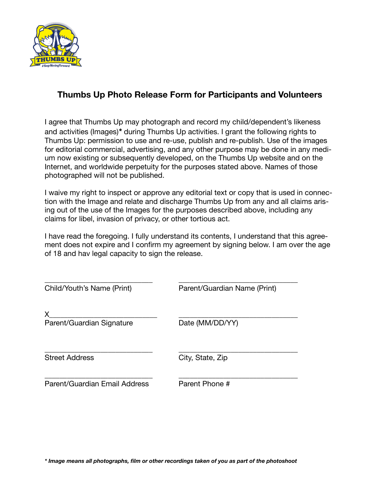

### **Thumbs Up Photo Release Form for Participants and Volunteers**

I agree that Thumbs Up may photograph and record my child/dependent's likeness and activities (Images)*\** during Thumbs Up activities. I grant the following rights to Thumbs Up: permission to use and re-use, publish and re-publish. Use of the images for editorial commercial, advertising, and any other purpose may be done in any medium now existing or subsequently developed, on the Thumbs Up website and on the Internet, and worldwide perpetuity for the purposes stated above. Names of those photographed will not be published.

I waive my right to inspect or approve any editorial text or copy that is used in connection with the Image and relate and discharge Thumbs Up from any and all claims arising out of the use of the Images for the purposes described above, including any claims for libel, invasion of privacy, or other tortious act.

I have read the foregoing. I fully understand its contents, I understand that this agreement does not expire and I confirm my agreement by signing below. I am over the age of 18 and hav legal capacity to sign the release.

| Child/Youth's Name (Print)     | Parent/Guardian Name (Print) |  |
|--------------------------------|------------------------------|--|
| X<br>Parent/Guardian Signature | Date (MM/DD/YY)              |  |
| <b>Street Address</b>          | City, State, Zip             |  |
| Parent/Guardian Email Address  | Parent Phone #               |  |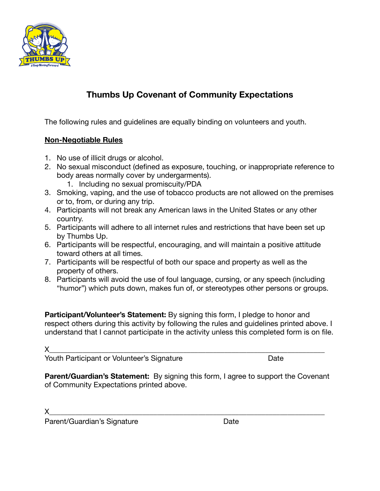

## **Thumbs Up Covenant of Community Expectations**

The following rules and guidelines are equally binding on volunteers and youth.

#### **Non-Negotiable Rules**

- 1. No use of illicit drugs or alcohol.
- 2. No sexual misconduct (defined as exposure, touching, or inappropriate reference to body areas normally cover by undergarments).
	- 1. Including no sexual promiscuity/PDA
- 3. Smoking, vaping, and the use of tobacco products are not allowed on the premises or to, from, or during any trip.
- 4. Participants will not break any American laws in the United States or any other country.
- 5. Participants will adhere to all internet rules and restrictions that have been set up by Thumbs Up.
- 6. Participants will be respectful, encouraging, and will maintain a positive attitude toward others at all times.
- 7. Participants will be respectful of both our space and property as well as the property of others.
- 8. Participants will avoid the use of foul language, cursing, or any speech (including "humor") which puts down, makes fun of, or stereotypes other persons or groups.

**Participant/Volunteer's Statement:** By signing this form, I pledge to honor and respect others during this activity by following the rules and guidelines printed above. I understand that I cannot participate in the activity unless this completed form is on file.

 ${\sf X}$  , and the contract of the contract of the contract of the contract of the contract of the contract of the contract of  ${\sf X}$ 

Youth Participant or Volunteer's Signature *Nouth Participant or Volunteer's Signature* 

**Parent/Guardian's Statement:** By signing this form, I agree to support the Covenant of Community Expectations printed above.

 $\times$ 

Parent/Guardian's Signature **business Date**